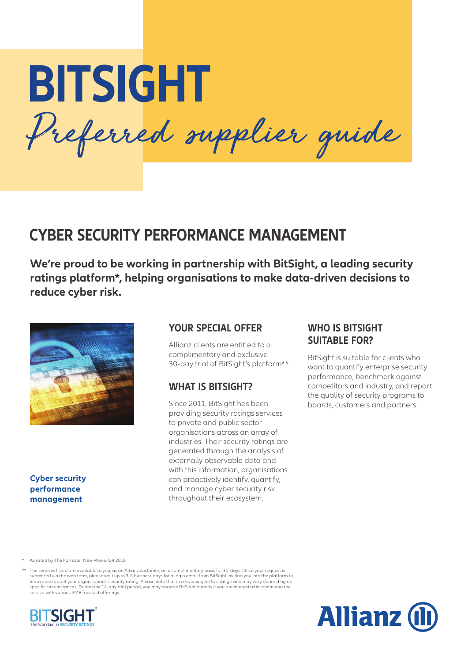**BITSIGHT** Preferred supplier guide

# **CYBER SECURITY PERFORMANCE MANAGEMENT**

**We're proud to be working in partnership with BitSight, a leading security ratings platform\*, helping organisations to make data-driven decisions to reduce cyber risk.**



**Cyber security performance management**

# **YOUR SPECIAL OFFER**

Allianz clients are entitled to a complimentary and exclusive 30-day trial of BitSight's platform\*\*.

# **WHAT IS BITSIGHT?**

Since 2011, BitSight has been providing security ratings services to private and public sector organisations across an array of industries. Their security ratings are generated through the analysis of externally observable data and with this information, organisations can proactively identify, quantify, and manage cyber security risk throughout their ecosystem.

# **WHO IS BITSIGHT SUITABLE FOR?**

BitSight is suitable for clients who want to quantify enterprise security performance, benchmark against competitors and industry, and report the quality of security programs to boards, customers and partners.

As rated by The Forrester New Wave, Q4 2018

\*\* The services listed are available to you, as an Allianz customer, on a complimentary basis for 30-days. Once your request is submitted via the web form, please wait up to 3-5 business days for a login email from BitSight inviting you into the platform to learn more about your organisation's security rating. Please note that access is subject to change and may vary depending on specific circumstances. During the 14-day trial period, you may engage BitSight directly if you are interested in continuing the service with various SMB focused offerings.